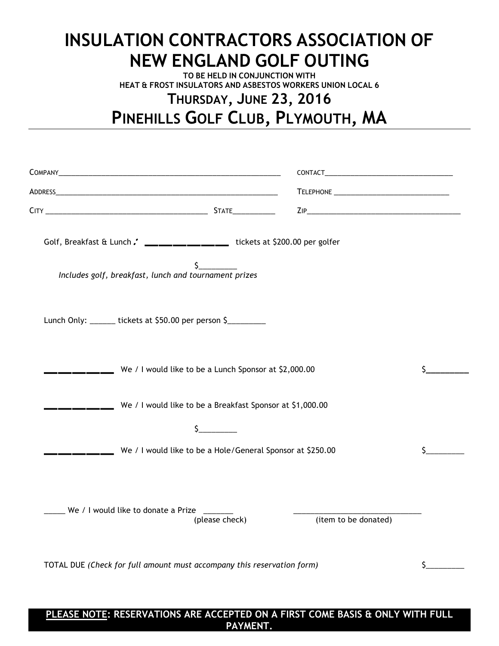## **INSULATION CONTRACTORS ASSOCIATION OF NEW ENGLAND GOLF OUTING**

**TO BE HELD IN CONJUNCTION WITH HEAT & FROST INSULATORS AND ASBESTOS WORKERS UNION LOCAL 6**

## **THURSDAY, JUNE 23, 2016 PINEHILLS GOLF CLUB, PLYMOUTH, MA**

| Golf, Breakfast & Lunch . ________________ tickets at \$200.00 per golfer |     |
|---------------------------------------------------------------------------|-----|
|                                                                           |     |
|                                                                           |     |
| We / I would like to be a Lunch Sponsor at \$2,000.00                     | \$. |
|                                                                           |     |
|                                                                           |     |
| We / I would like to be a Hole/General Sponsor at \$250.00                | \$. |
| (item to be donated)                                                      |     |
| TOTAL DUE (Check for full amount must accompany this reservation form)    |     |
|                                                                           |     |

**PLEASE NOTE: RESERVATIONS ARE ACCEPTED ON A FIRST COME BASIS & ONLY WITH FULL PAYMENT.**